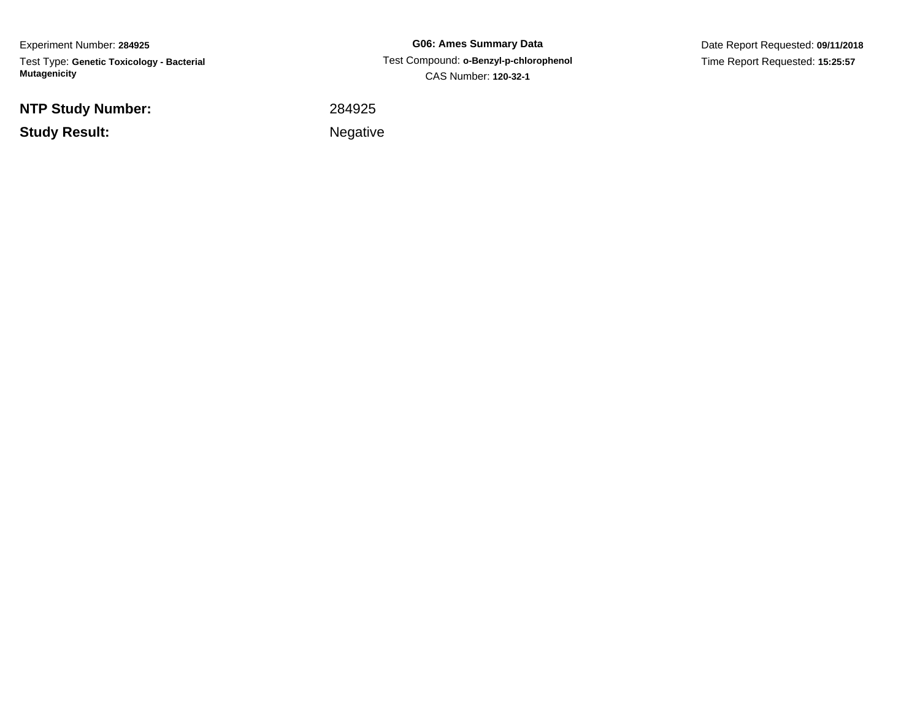Experiment Number: **284925**Test Type: **Genetic Toxicology - Bacterial Mutagenicity**

**NTP Study Number:**

**Study Result:**

**G06: Ames Summary Data** Test Compound: **o-Benzyl-p-chlorophenol** CAS Number: **120-32-1**

Date Report Requested: **09/11/2018**Time Report Requested: **15:25:57**

<sup>284925</sup>

Negative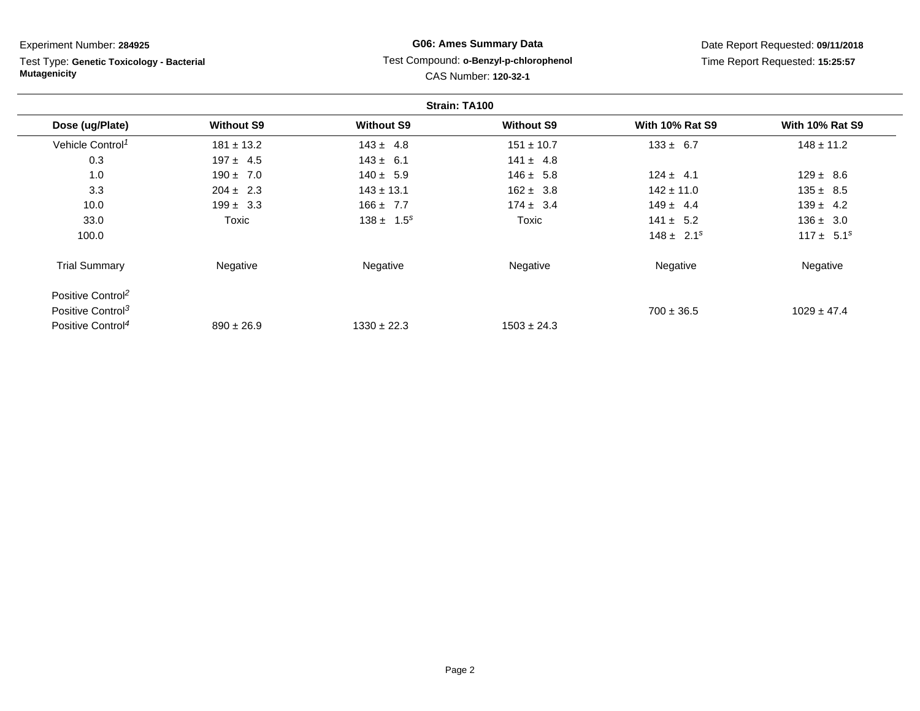| Experiment Number: 284925                                        |                   | <b>G06: Ames Summary Data</b>                                  |                   | Date Report Requested: 09/11/2018 |                        |  |  |
|------------------------------------------------------------------|-------------------|----------------------------------------------------------------|-------------------|-----------------------------------|------------------------|--|--|
| Test Type: Genetic Toxicology - Bacterial<br><b>Mutagenicity</b> |                   | Test Compound: o-Benzyl-p-chlorophenol<br>CAS Number: 120-32-1 |                   | Time Report Requested: 15:25:57   |                        |  |  |
| Strain: TA100                                                    |                   |                                                                |                   |                                   |                        |  |  |
| Dose (ug/Plate)                                                  | <b>Without S9</b> | <b>Without S9</b>                                              | <b>Without S9</b> | <b>With 10% Rat S9</b>            | <b>With 10% Rat S9</b> |  |  |
| Vehicle Control <sup>1</sup>                                     | $181 \pm 13.2$    | $143 \pm 4.8$                                                  | $151 \pm 10.7$    | $133 \pm 6.7$                     | $148 \pm 11.2$         |  |  |
| 0.3                                                              | $197 \pm 4.5$     | $143 \pm 6.1$                                                  | $141 \pm 4.8$     |                                   |                        |  |  |
| 1.0                                                              | $190 \pm 7.0$     | $140 \pm 5.9$                                                  | $146 \pm 5.8$     | $124 \pm 4.1$                     | $129 \pm 8.6$          |  |  |
| 3.3                                                              | $204 \pm 2.3$     | $143 \pm 13.1$                                                 | $162 \pm 3.8$     | $142 \pm 11.0$                    | $135 \pm 8.5$          |  |  |
| 10.0                                                             | $199 \pm 3.3$     | $166 \pm 7.7$                                                  | $174 \pm 3.4$     | $149 \pm 4.4$                     | $139 \pm 4.2$          |  |  |
| 33.0                                                             | Toxic             | $138 \pm 1.5^s$                                                | Toxic             | $141 \pm 5.2$                     | $136 \pm 3.0$          |  |  |
| 100.0                                                            |                   |                                                                |                   | $148 \pm 2.1^s$                   | $117 \pm 5.1^s$        |  |  |
| <b>Trial Summary</b>                                             | Negative          | Negative                                                       | Negative          | Negative                          | Negative               |  |  |
| Positive Control <sup>2</sup>                                    |                   |                                                                |                   |                                   |                        |  |  |
| Positive Control <sup>3</sup>                                    |                   |                                                                |                   | $700 \pm 36.5$                    | $1029 \pm 47.4$        |  |  |

 $1330 \pm 22.3$  1503  $\pm 24.3$ 

Positive Control<sup>4</sup>

 $890 \pm 26.9$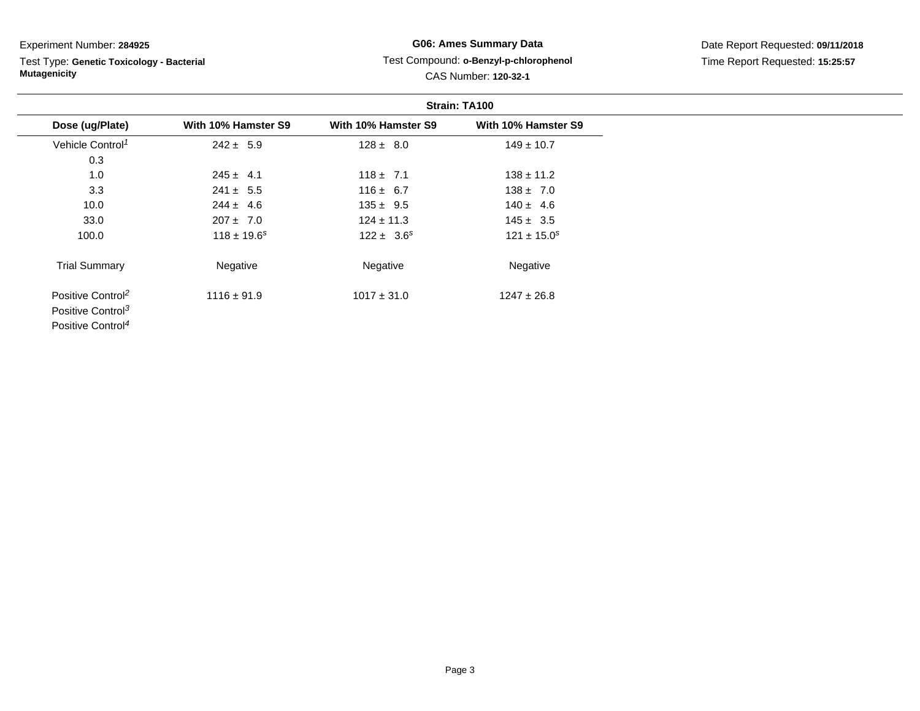Test Type: **Genetic Toxicology - Bacterial Mutagenicity**

# **G06: Ames Summary Data**Test Compound: **o-Benzyl-p-chlorophenol**

| <b>CAS Number: 120-32-1</b> |
|-----------------------------|
|                             |

|                               |                     |                     | Strain: TA100       |  |
|-------------------------------|---------------------|---------------------|---------------------|--|
| Dose (ug/Plate)               | With 10% Hamster S9 | With 10% Hamster S9 | With 10% Hamster S9 |  |
| Vehicle Control <sup>1</sup>  | $242 \pm 5.9$       | $128 \pm 8.0$       | $149 \pm 10.7$      |  |
| 0.3                           |                     |                     |                     |  |
| 1.0                           | $245 \pm 4.1$       | $118 \pm 7.1$       | $138 \pm 11.2$      |  |
| 3.3                           | $241 \pm 5.5$       | $116 \pm 6.7$       | $138 \pm 7.0$       |  |
| 10.0                          | $244 \pm 4.6$       | $135 \pm 9.5$       | $140 \pm 4.6$       |  |
| 33.0                          | $207 \pm 7.0$       | $124 \pm 11.3$      | $145 \pm 3.5$       |  |
| 100.0                         | $118 \pm 19.6^s$    | $122 \pm 3.6^s$     | $121 \pm 15.0^s$    |  |
| <b>Trial Summary</b>          | Negative            | Negative            | Negative            |  |
| Positive Control <sup>2</sup> | $1116 \pm 91.9$     | $1017 \pm 31.0$     | $1247 \pm 26.8$     |  |
| Positive Control <sup>3</sup> |                     |                     |                     |  |
| Positive Control <sup>4</sup> |                     |                     |                     |  |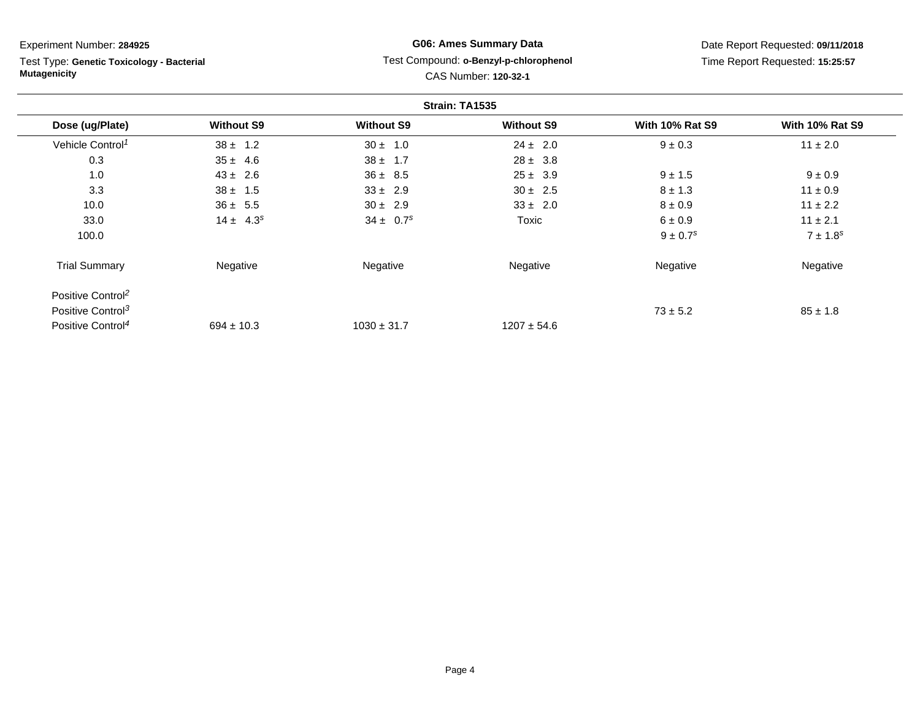Test Type: **Genetic Toxicology - Bacterial Mutagenicity**

# **G06: Ames Summary Data** Test Compound: **o-Benzyl-p-chlorophenol**CAS Number: **120-32-1**

|                               |                   |                           | Strain: TA1535    |                          |                        |
|-------------------------------|-------------------|---------------------------|-------------------|--------------------------|------------------------|
| Dose (ug/Plate)               | <b>Without S9</b> | <b>Without S9</b>         | <b>Without S9</b> | <b>With 10% Rat S9</b>   | <b>With 10% Rat S9</b> |
| Vehicle Control <sup>1</sup>  | $38 \pm 1.2$      | $30 \pm 1.0$              | $24 \pm 2.0$      | $9 \pm 0.3$              | $11 \pm 2.0$           |
| 0.3                           | $35 \pm 4.6$      | $38 \pm 1.7$              | $28 \pm 3.8$      |                          |                        |
| 1.0                           | $43 \pm 2.6$      | $36 \pm 8.5$              | $25 \pm 3.9$      | $9 \pm 1.5$              | $9 \pm 0.9$            |
| 3.3                           | $38 \pm 1.5$      | $33 \pm 2.9$              | $30 \pm 2.5$      | $8 \pm 1.3$              | $11 \pm 0.9$           |
| 10.0                          | $36 \pm 5.5$      | $30 \pm 2.9$              | $33 \pm 2.0$      | $8 \pm 0.9$              | $11 \pm 2.2$           |
| 33.0                          | $14 \pm 4.3^s$    | $34 \pm 0.7$ <sup>s</sup> | Toxic             | 6 ± 0.9                  | $11 \pm 2.1$           |
| 100.0                         |                   |                           |                   | $9 \pm 0.7$ <sup>s</sup> | $7 \pm 1.8^s$          |
| <b>Trial Summary</b>          | Negative          | Negative                  | Negative          | Negative                 | Negative               |
| Positive Control <sup>2</sup> |                   |                           |                   |                          |                        |
| Positive Control <sup>3</sup> |                   |                           |                   | $73 \pm 5.2$             | $85 \pm 1.8$           |
| Positive Control <sup>4</sup> | $694 \pm 10.3$    | $1030 \pm 31.7$           | $1207 \pm 54.6$   |                          |                        |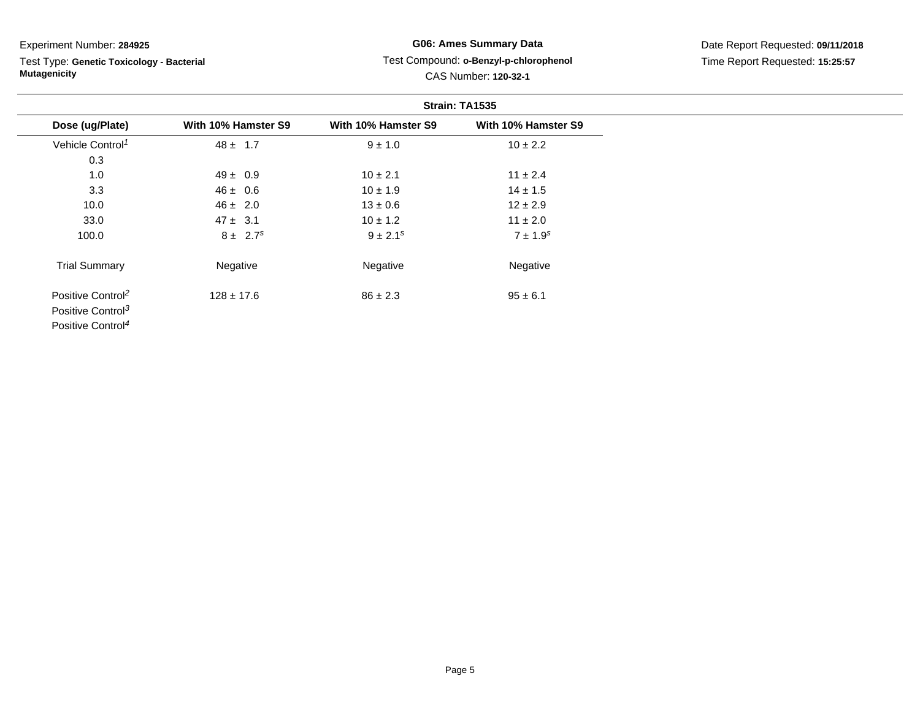Test Type: **Genetic Toxicology - Bacterial Mutagenicity**

## **G06: Ames Summary Data** Test Compound: **o-Benzyl-p-chlorophenol**CAS Number: **120-32-1**

|                               |                     |                     | Strain: TA1535      |
|-------------------------------|---------------------|---------------------|---------------------|
| Dose (ug/Plate)               | With 10% Hamster S9 | With 10% Hamster S9 | With 10% Hamster S9 |
| Vehicle Control <sup>1</sup>  | $48 \pm 1.7$        | $9 \pm 1.0$         | $10 \pm 2.2$        |
| 0.3                           |                     |                     |                     |
| 1.0                           | $49 \pm 0.9$        | $10 \pm 2.1$        | $11 \pm 2.4$        |
| 3.3                           | $46 \pm 0.6$        | $10 \pm 1.9$        | $14 \pm 1.5$        |
| 10.0                          | $46 \pm 2.0$        | $13 \pm 0.6$        | $12 \pm 2.9$        |
| 33.0                          | $47 \pm 3.1$        | $10 \pm 1.2$        | $11 \pm 2.0$        |
| 100.0                         | $8 \pm 2.7^s$       | $9 \pm 2.1^s$       | $7 \pm 1.9^s$       |
| <b>Trial Summary</b>          | Negative            | Negative            | Negative            |
| Positive Control <sup>2</sup> | $128 \pm 17.6$      | $86 \pm 2.3$        | $95 \pm 6.1$        |
| Positive Control <sup>3</sup> |                     |                     |                     |
| Positive Control <sup>4</sup> |                     |                     |                     |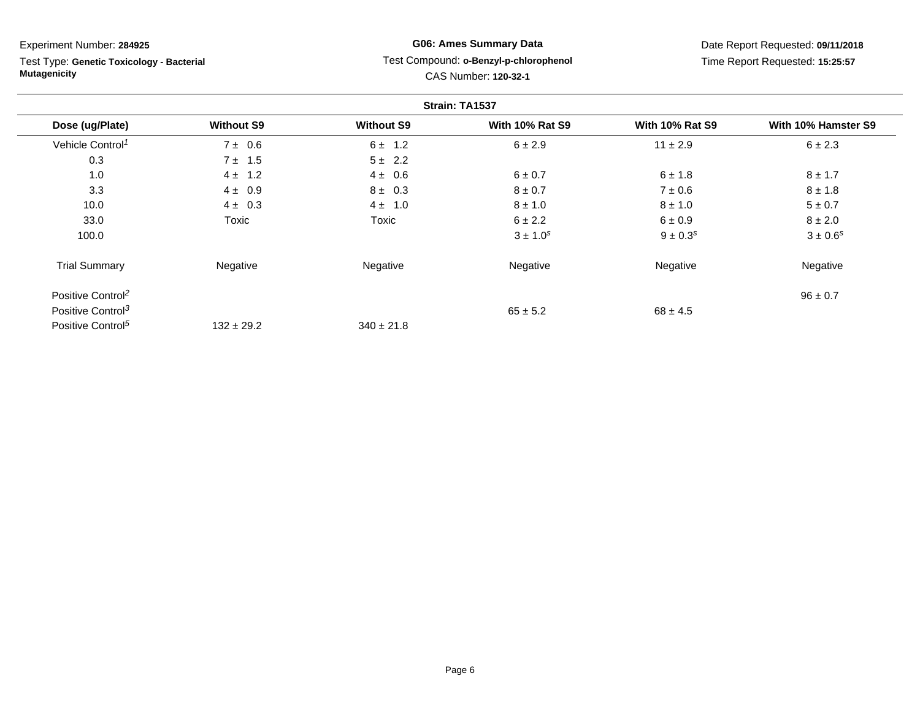Test Type: **Genetic Toxicology - Bacterial Mutagenicity**

## **G06: Ames Summary Data** Test Compound: **o-Benzyl-p-chlorophenol**CAS Number: **120-32-1**

|                               |                   |                   | Strain: TA1537         |                        |                     |
|-------------------------------|-------------------|-------------------|------------------------|------------------------|---------------------|
| Dose (ug/Plate)               | <b>Without S9</b> | <b>Without S9</b> | <b>With 10% Rat S9</b> | <b>With 10% Rat S9</b> | With 10% Hamster S9 |
| Vehicle Control <sup>1</sup>  | $7 \pm 0.6$       | $6 \pm 1.2$       | 6 ± 2.9                | $11 \pm 2.9$           | $6 \pm 2.3$         |
| 0.3                           | $7 \pm 1.5$       | $5 \pm 2.2$       |                        |                        |                     |
| 1.0                           | $4 \pm 1.2$       | $4 \pm 0.6$       | 6 ± 0.7                | 6 ± 1.8                | $8 \pm 1.7$         |
| 3.3                           | $4 \pm 0.9$       | $8 \pm 0.3$       | $8 \pm 0.7$            | $7 \pm 0.6$            | $8 \pm 1.8$         |
| 10.0                          | $4 \pm 0.3$       | $4 \pm 1.0$       | $8 \pm 1.0$            | $8 \pm 1.0$            | $5 \pm 0.7$         |
| 33.0                          | <b>Toxic</b>      | <b>Toxic</b>      | $6 \pm 2.2$            | $6 \pm 0.9$            | $8 \pm 2.0$         |
| 100.0                         |                   |                   | $3 \pm 1.0^{s}$        | $9 \pm 0.3^s$          | $3 \pm 0.6^s$       |
| <b>Trial Summary</b>          | Negative          | Negative          | Negative               | Negative               | Negative            |
| Positive Control <sup>2</sup> |                   |                   |                        |                        | $96 \pm 0.7$        |
| Positive Control <sup>3</sup> |                   |                   | $65 \pm 5.2$           | $68 \pm 4.5$           |                     |
| Positive Control <sup>5</sup> | $132 \pm 29.2$    | $340 \pm 21.8$    |                        |                        |                     |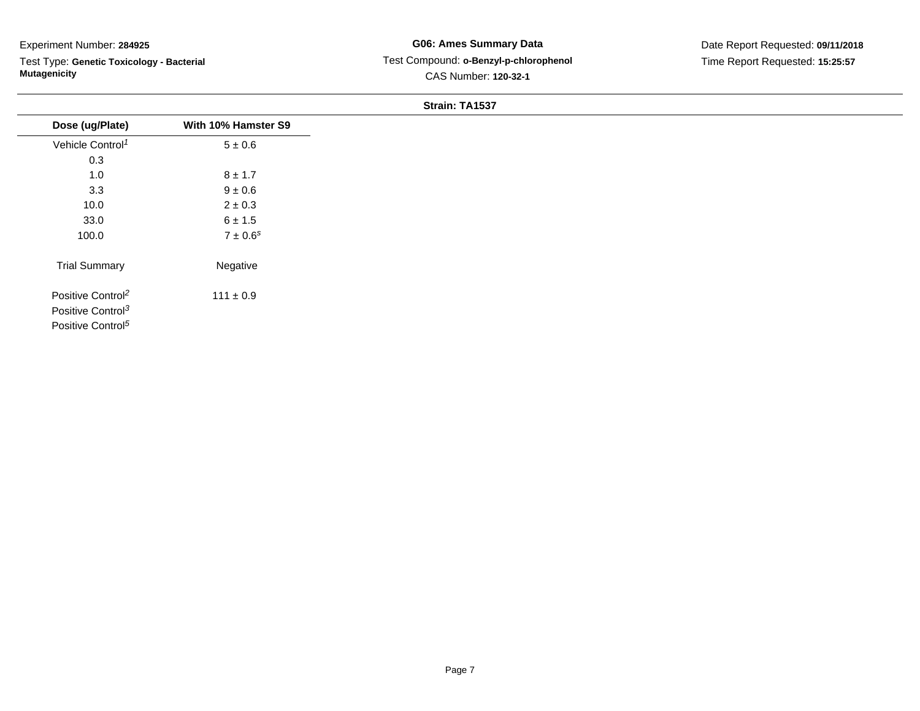Test Type: **Genetic Toxicology - Bacterial Mutagenicity**

## **G06: Ames Summary Data** Test Compound: **o-Benzyl-p-chlorophenol**CAS Number: **120-32-1**

#### **Strain: TA1537**

|                               |                          | <u>UNUMIN ITATUUT</u> |
|-------------------------------|--------------------------|-----------------------|
| Dose (ug/Plate)               | With 10% Hamster S9      |                       |
| Vehicle Control <sup>1</sup>  | $5\pm0.6$                |                       |
| 0.3                           |                          |                       |
| 1.0                           | $8 \pm 1.7$              |                       |
| 3.3                           | $9 \pm 0.6$              |                       |
| 10.0                          | $2\pm0.3$                |                       |
| 33.0                          | $6 \pm 1.5$              |                       |
| 100.0                         | $7 \pm 0.6$ <sup>s</sup> |                       |
| <b>Trial Summary</b>          | Negative                 |                       |
| Positive Control <sup>2</sup> | $111 \pm 0.9$            |                       |
| Positive Control <sup>3</sup> |                          |                       |
| Positive Control <sup>5</sup> |                          |                       |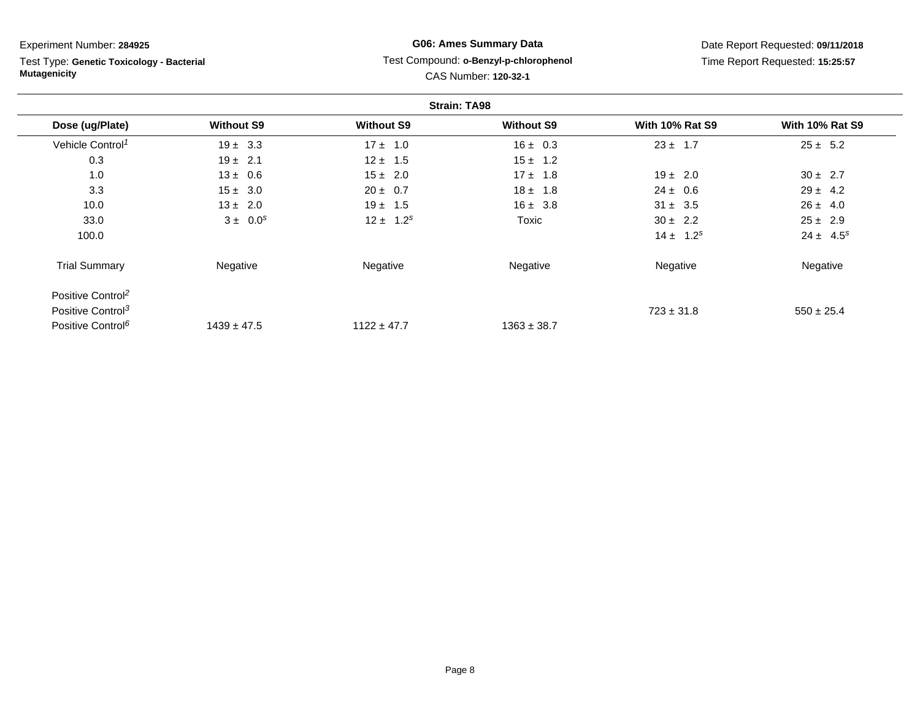Test Type: **Genetic Toxicology - Bacterial Mutagenicity**

# **G06: Ames Summary Data** Test Compound: **o-Benzyl-p-chlorophenol**CAS Number: **120-32-1**

|                               |                   |                   | <b>Strain: TA98</b> |                        |                        |
|-------------------------------|-------------------|-------------------|---------------------|------------------------|------------------------|
| Dose (ug/Plate)               | <b>Without S9</b> | <b>Without S9</b> | <b>Without S9</b>   | <b>With 10% Rat S9</b> | <b>With 10% Rat S9</b> |
| Vehicle Control <sup>1</sup>  | $19 \pm 3.3$      | $17 \pm 1.0$      | $16 \pm 0.3$        | $23 \pm 1.7$           | $25 \pm 5.2$           |
| 0.3                           | $19 \pm 2.1$      | $12 \pm 1.5$      | $15 \pm 1.2$        |                        |                        |
| 1.0                           | $13 \pm 0.6$      | $15 \pm 2.0$      | $17 \pm 1.8$        | $19 \pm 2.0$           | $30 \pm 2.7$           |
| 3.3                           | $15 \pm 3.0$      | $20 \pm 0.7$      | $18 \pm 1.8$        | $24 \pm 0.6$           | $29 \pm 4.2$           |
| 10.0                          | $13 \pm 2.0$      | $19 \pm 1.5$      | $16 \pm 3.8$        | $31 \pm 3.5$           | $26 \pm 4.0$           |
| 33.0                          | $3 \pm 0.0^s$     | $12 \pm 1.2^s$    | Toxic               | $30 \pm 2.2$           | $25 \pm 2.9$           |
| 100.0                         |                   |                   |                     | $14 \pm 1.2^s$         | $24 \pm 4.5^s$         |
| <b>Trial Summary</b>          | Negative          | Negative          | Negative            | Negative               | Negative               |
| Positive Control <sup>2</sup> |                   |                   |                     |                        |                        |
| Positive Control <sup>3</sup> |                   |                   |                     | $723 \pm 31.8$         | $550 \pm 25.4$         |
| Positive Control <sup>6</sup> | $1439 \pm 47.5$   | $1122 \pm 47.7$   | $1363 \pm 38.7$     |                        |                        |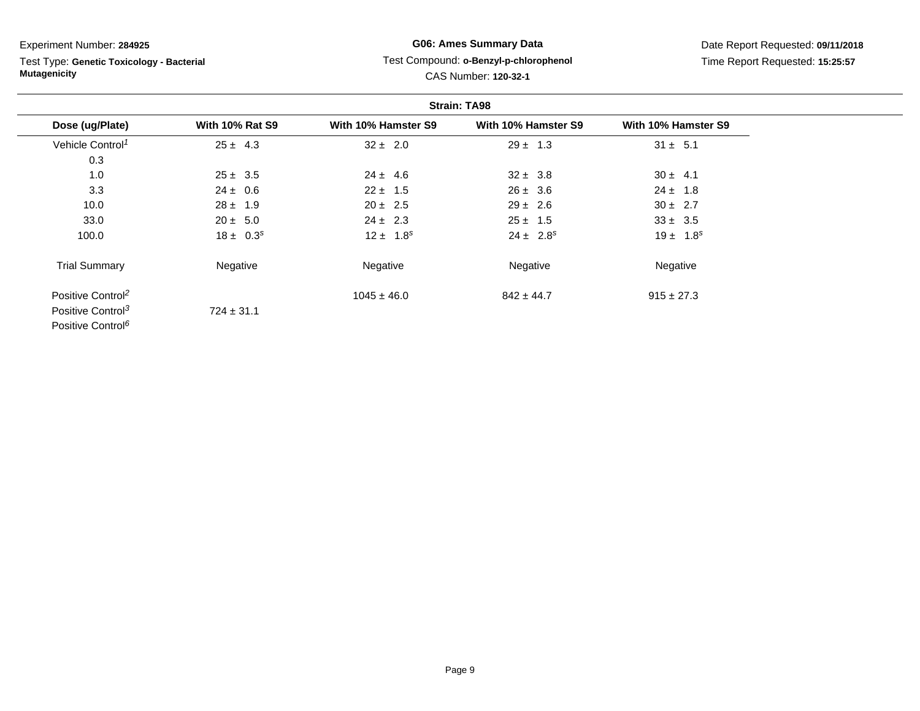Test Type: **Genetic Toxicology - Bacterial Mutagenicity**

# **G06: Ames Summary Data**Test Compound: **o-Benzyl-p-chlorophenol**

Date Report Requested: **09/11/2018**Time Report Requested: **15:25:57**

# CAS Number: **120-32-1**

|                               |                        | <b>Strain: TA98</b> |                     |                     |  |
|-------------------------------|------------------------|---------------------|---------------------|---------------------|--|
| Dose (ug/Plate)               | <b>With 10% Rat S9</b> | With 10% Hamster S9 | With 10% Hamster S9 | With 10% Hamster S9 |  |
| Vehicle Control <sup>1</sup>  | $25 \pm 4.3$           | $32 \pm 2.0$        | $29 \pm 1.3$        | $31 \pm 5.1$        |  |
| 0.3                           |                        |                     |                     |                     |  |
| 1.0                           | $25 \pm 3.5$           | $24 \pm 4.6$        | $32 \pm 3.8$        | $30 \pm 4.1$        |  |
| 3.3                           | $24 \pm 0.6$           | $22 \pm 1.5$        | $26 \pm 3.6$        | $24 \pm 1.8$        |  |
| 10.0                          | $28 \pm 1.9$           | $20 \pm 2.5$        | $29 \pm 2.6$        | $30 \pm 2.7$        |  |
| 33.0                          | $20 \pm 5.0$           | $24 \pm 2.3$        | $25 \pm 1.5$        | $33 \pm 3.5$        |  |
| 100.0                         | $18 \pm 0.3^s$         | $12 \pm 1.8^s$      | $24 \pm 2.8^s$      | $19 \pm 1.8^s$      |  |
| <b>Trial Summary</b>          | Negative               | Negative            | Negative            | Negative            |  |
| Positive Control <sup>2</sup> |                        | $1045 \pm 46.0$     | $842 \pm 44.7$      | $915 \pm 27.3$      |  |
| Positive Control <sup>3</sup> | $724 \pm 31.1$         |                     |                     |                     |  |
| Positive Control <sup>6</sup> |                        |                     |                     |                     |  |